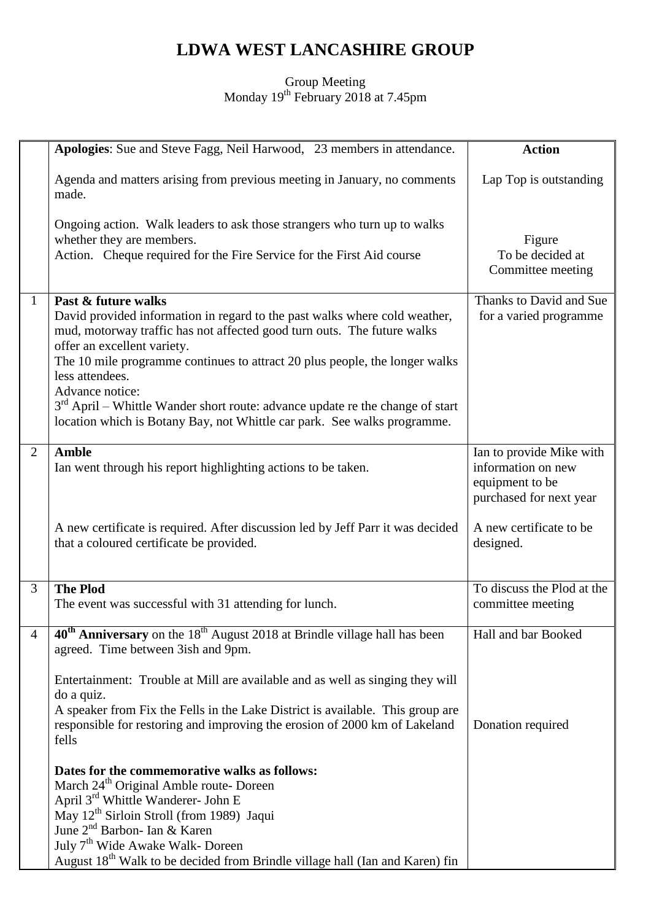## **LDWA WEST LANCASHIRE GROUP**

## Group Meeting Monday 19<sup>th</sup> February 2018 at 7.45pm

|                | Apologies: Sue and Steve Fagg, Neil Harwood, 23 members in attendance.                                                                                                                                                                                                                                                                                                                                                                                                                          | <b>Action</b>                                                                                |
|----------------|-------------------------------------------------------------------------------------------------------------------------------------------------------------------------------------------------------------------------------------------------------------------------------------------------------------------------------------------------------------------------------------------------------------------------------------------------------------------------------------------------|----------------------------------------------------------------------------------------------|
|                | Agenda and matters arising from previous meeting in January, no comments<br>made.                                                                                                                                                                                                                                                                                                                                                                                                               | Lap Top is outstanding                                                                       |
|                | Ongoing action. Walk leaders to ask those strangers who turn up to walks<br>whether they are members.<br>Action. Cheque required for the Fire Service for the First Aid course                                                                                                                                                                                                                                                                                                                  | Figure<br>To be decided at<br>Committee meeting                                              |
| 1              | Past & future walks<br>David provided information in regard to the past walks where cold weather,<br>mud, motorway traffic has not affected good turn outs. The future walks<br>offer an excellent variety.<br>The 10 mile programme continues to attract 20 plus people, the longer walks<br>less attendees.<br>Advance notice:<br>$3rd$ April – Whittle Wander short route: advance update re the change of start<br>location which is Botany Bay, not Whittle car park. See walks programme. | Thanks to David and Sue<br>for a varied programme                                            |
| $\overline{2}$ | <b>Amble</b><br>Ian went through his report highlighting actions to be taken.                                                                                                                                                                                                                                                                                                                                                                                                                   | Ian to provide Mike with<br>information on new<br>equipment to be<br>purchased for next year |
|                | A new certificate is required. After discussion led by Jeff Parr it was decided<br>that a coloured certificate be provided.                                                                                                                                                                                                                                                                                                                                                                     | A new certificate to be<br>designed.                                                         |
| 3              | <b>The Plod</b><br>The event was successful with 31 attending for lunch.                                                                                                                                                                                                                                                                                                                                                                                                                        | To discuss the Plod at the<br>committee meeting                                              |
| $\overline{4}$ | 40 <sup>th</sup> Anniversary on the 18 <sup>th</sup> August 2018 at Brindle village hall has been<br>agreed. Time between 3ish and 9pm.                                                                                                                                                                                                                                                                                                                                                         | Hall and bar Booked                                                                          |
|                | Entertainment: Trouble at Mill are available and as well as singing they will<br>do a quiz.<br>A speaker from Fix the Fells in the Lake District is available. This group are<br>responsible for restoring and improving the erosion of 2000 km of Lakeland<br>fells                                                                                                                                                                                                                            | Donation required                                                                            |
|                | Dates for the commemorative walks as follows:<br>March 24 <sup>th</sup> Original Amble route- Doreen<br>April 3 <sup>rd</sup> Whittle Wanderer- John E<br>May 12 <sup>th</sup> Sirloin Stroll (from 1989) Jaqui<br>June 2 <sup>nd</sup> Barbon- Ian & Karen<br>July 7 <sup>th</sup> Wide Awake Walk- Doreen<br>August 18 <sup>th</sup> Walk to be decided from Brindle village hall (Ian and Karen) fin                                                                                         |                                                                                              |